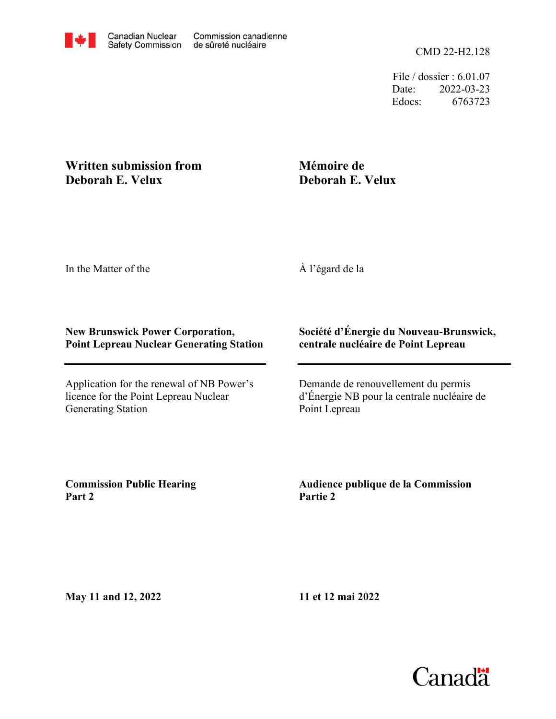File / dossier : 6.01.07 Date: 2022-03-23 Edocs: 6763723

# **Written submission from Deborah E. Velux**

# **Mémoire de Deborah E. Velux**

In the Matter of the

À l'égard de la

# **New Brunswick Power Corporation, Point Lepreau Nuclear Generating Station**

Application for the renewal of NB Power's licence for the Point Lepreau Nuclear Generating Station

# **Société d'Énergie du Nouveau-Brunswick, centrale nucléaire de Point Lepreau**

Demande de renouvellement du permis d'Énergie NB pour la centrale nucléaire de Point Lepreau

**Commission Public Hearing Part 2**

**Audience publique de la Commission Partie 2**

**May 11 and 12, 2022**

**11 et 12 mai 2022**

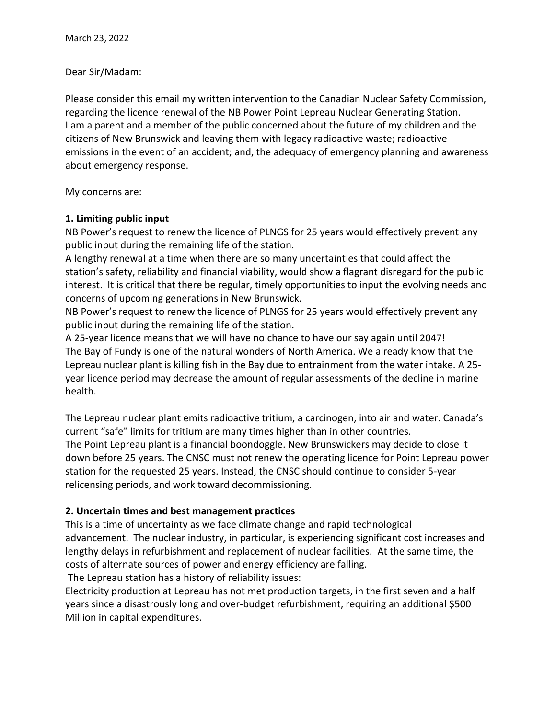### Dear Sir/Madam:

Please consider this email my written intervention to the Canadian Nuclear Safety Commission, regarding the licence renewal of the NB Power Point Lepreau Nuclear Generating Station. I am a parent and a member of the public concerned about the future of my children and the citizens of New Brunswick and leaving them with legacy radioactive waste; radioactive emissions in the event of an accident; and, the adequacy of emergency planning and awareness about emergency response.

My concerns are:

#### **1. Limiting public input**

NB Power's request to renew the licence of PLNGS for 25 years would effectively prevent any public input during the remaining life of the station.

A lengthy renewal at a time when there are so many uncertainties that could affect the station's safety, reliability and financial viability, would show a flagrant disregard for the public interest. It is critical that there be regular, timely opportunities to input the evolving needs and concerns of upcoming generations in New Brunswick.

NB Power's request to renew the licence of PLNGS for 25 years would effectively prevent any public input during the remaining life of the station.

A 25-year licence means that we will have no chance to have our say again until 2047! The Bay of Fundy is one of the natural wonders of North America. We already know that the Lepreau nuclear plant is killing fish in the Bay due to entrainment from the water intake. A 25 year licence period may decrease the amount of regular assessments of the decline in marine health.

The Lepreau nuclear plant emits radioactive tritium, a carcinogen, into air and water. Canada's current "safe" limits for tritium are many times higher than in other countries. The Point Lepreau plant is a financial boondoggle. New Brunswickers may decide to close it down before 25 years. The CNSC must not renew the operating licence for Point Lepreau power station for the requested 25 years. Instead, the CNSC should continue to consider 5-year relicensing periods, and work toward decommissioning.

# **2. Uncertain times and best management practices**

This is a time of uncertainty as we face climate change and rapid technological advancement. The nuclear industry, in particular, is experiencing significant cost increases and lengthy delays in refurbishment and replacement of nuclear facilities. At the same time, the costs of alternate sources of power and energy efficiency are falling.

The Lepreau station has a history of reliability issues:

Electricity production at Lepreau has not met production targets, in the first seven and a half years since a disastrously long and over-budget refurbishment, requiring an additional \$500 Million in capital expenditures.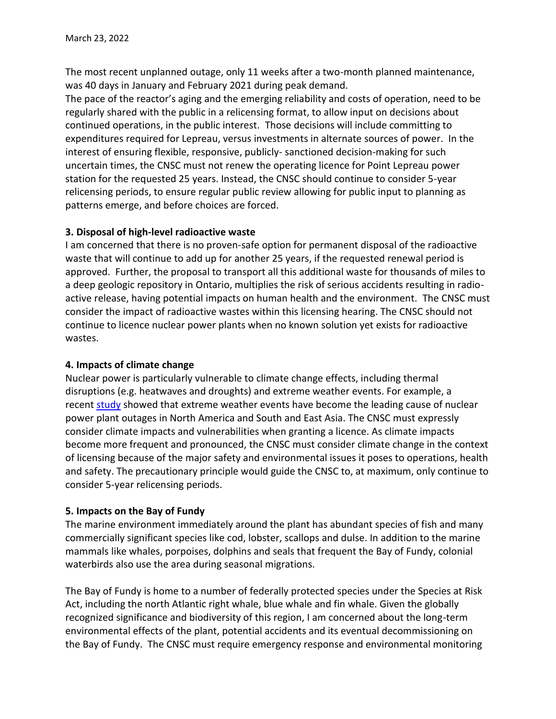The most recent unplanned outage, only 11 weeks after a two-month planned maintenance, was 40 days in January and February 2021 during peak demand.

The pace of the reactor's aging and the emerging reliability and costs of operation, need to be regularly shared with the public in a relicensing format, to allow input on decisions about continued operations, in the public interest. Those decisions will include committing to expenditures required for Lepreau, versus investments in alternate sources of power. In the interest of ensuring flexible, responsive, publicly- sanctioned decision-making for such uncertain times, the CNSC must not renew the operating licence for Point Lepreau power station for the requested 25 years. Instead, the CNSC should continue to consider 5-year relicensing periods, to ensure regular public review allowing for public input to planning as patterns emerge, and before choices are forced.

## **3. Disposal of high-level radioactive waste**

I am concerned that there is no proven-safe option for permanent disposal of the radioactive waste that will continue to add up for another 25 years, if the requested renewal period is approved. Further, the proposal to transport all this additional waste for thousands of miles to a deep geologic repository in Ontario, multiplies the risk of serious accidents resulting in radioactive release, having potential impacts on human health and the environment. The CNSC must consider the impact of radioactive wastes within this licensing hearing. The CNSC should not continue to licence nuclear power plants when no known solution yet exists for radioactive wastes.

# **4. Impacts of climate change**

Nuclear power is particularly vulnerable to climate change effects, including thermal disruptions (e.g. heatwaves and droughts) and extreme weather events. For example, a recent [study](https://www.nature.com/articles/s41560-021-00849-y) showed that extreme weather events have become the leading cause of nuclear power plant outages in North America and South and East Asia. The CNSC must expressly consider climate impacts and vulnerabilities when granting a licence. As climate impacts become more frequent and pronounced, the CNSC must consider climate change in the context of licensing because of the major safety and environmental issues it poses to operations, health and safety. The precautionary principle would guide the CNSC to, at maximum, only continue to consider 5-year relicensing periods.

#### **5. Impacts on the Bay of Fundy**

The marine environment immediately around the plant has abundant species of fish and many commercially significant species like cod, lobster, scallops and dulse. In addition to the marine mammals like whales, porpoises, dolphins and seals that frequent the Bay of Fundy, colonial waterbirds also use the area during seasonal migrations.

The Bay of Fundy is home to a number of federally protected species under the Species at Risk Act, including the north Atlantic right whale, blue whale and fin whale. Given the globally recognized significance and biodiversity of this region, I am concerned about the long-term environmental effects of the plant, potential accidents and its eventual decommissioning on the Bay of Fundy. The CNSC must require emergency response and environmental monitoring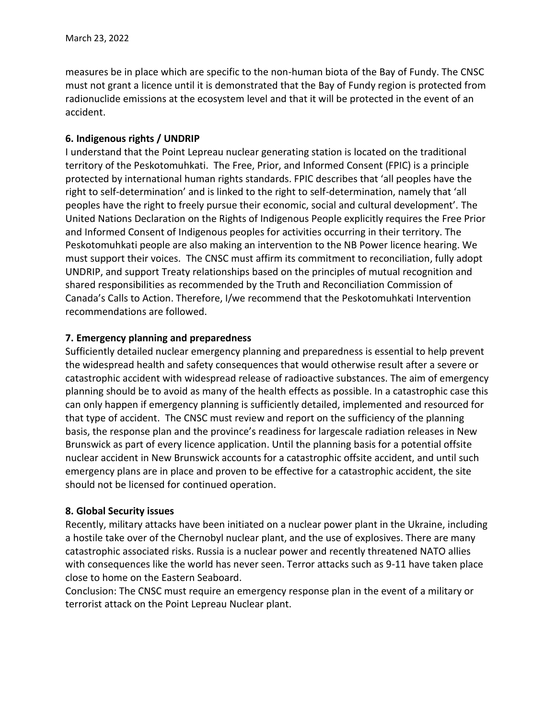measures be in place which are specific to the non-human biota of the Bay of Fundy. The CNSC must not grant a licence until it is demonstrated that the Bay of Fundy region is protected from radionuclide emissions at the ecosystem level and that it will be protected in the event of an accident.

### **6. Indigenous rights / UNDRIP**

I understand that the Point Lepreau nuclear generating station is located on the traditional territory of the Peskotomuhkati. The Free, Prior, and Informed Consent (FPIC) is a principle protected by international human rights standards. FPIC describes that 'all peoples have the right to self-determination' and is linked to the right to self-determination, namely that 'all peoples have the right to freely pursue their economic, social and cultural development'. The United Nations Declaration on the Rights of Indigenous People explicitly requires the Free Prior and Informed Consent of Indigenous peoples for activities occurring in their territory. The Peskotomuhkati people are also making an intervention to the NB Power licence hearing. We must support their voices. The CNSC must affirm its commitment to reconciliation, fully adopt UNDRIP, and support Treaty relationships based on the principles of mutual recognition and shared responsibilities as recommended by the Truth and Reconciliation Commission of Canada's Calls to Action. Therefore, I/we recommend that the Peskotomuhkati Intervention recommendations are followed.

## **7. Emergency planning and preparedness**

Sufficiently detailed nuclear emergency planning and preparedness is essential to help prevent the widespread health and safety consequences that would otherwise result after a severe or catastrophic accident with widespread release of radioactive substances. The aim of emergency planning should be to avoid as many of the health effects as possible. In a catastrophic case this can only happen if emergency planning is sufficiently detailed, implemented and resourced for that type of accident. The CNSC must review and report on the sufficiency of the planning basis, the response plan and the province's readiness for largescale radiation releases in New Brunswick as part of every licence application. Until the planning basis for a potential offsite nuclear accident in New Brunswick accounts for a catastrophic offsite accident, and until such emergency plans are in place and proven to be effective for a catastrophic accident, the site should not be licensed for continued operation.

#### **8. Global Security issues**

Recently, military attacks have been initiated on a nuclear power plant in the Ukraine, including a hostile take over of the Chernobyl nuclear plant, and the use of explosives. There are many catastrophic associated risks. Russia is a nuclear power and recently threatened NATO allies with consequences like the world has never seen. Terror attacks such as 9-11 have taken place close to home on the Eastern Seaboard.

Conclusion: The CNSC must require an emergency response plan in the event of a military or terrorist attack on the Point Lepreau Nuclear plant.